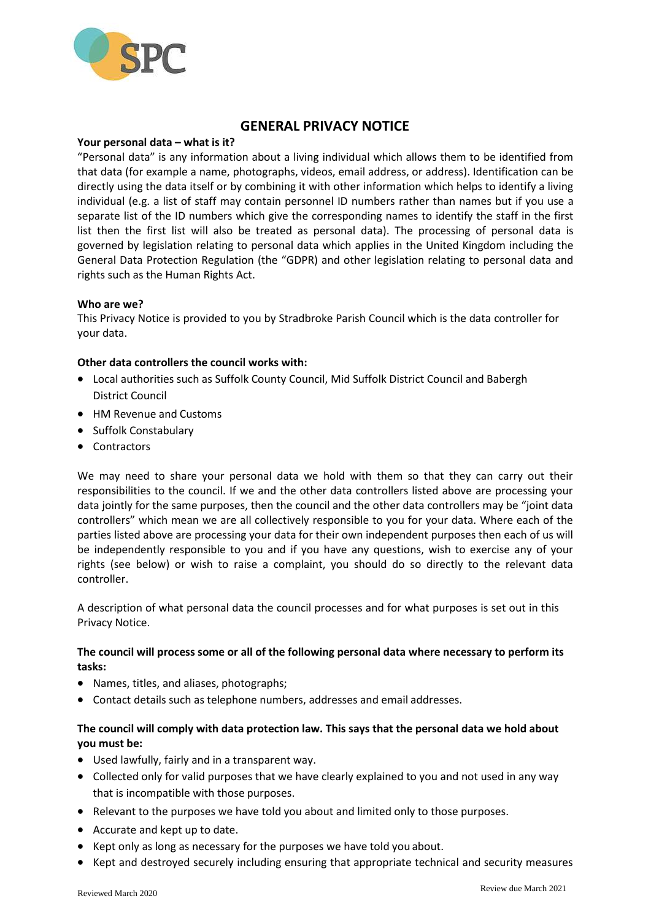

# **GENERAL PRIVACY NOTICE**

#### **Your personal data – what is it?**

"Personal data" is any information about a living individual which allows them to be identified from that data (for example a name, photographs, videos, email address, or address). Identification can be directly using the data itself or by combining it with other information which helps to identify a living individual (e.g. a list of staff may contain personnel ID numbers rather than names but if you use a separate list of the ID numbers which give the corresponding names to identify the staff in the first list then the first list will also be treated as personal data). The processing of personal data is governed by legislation relating to personal data which applies in the United Kingdom including the General Data Protection Regulation (the "GDPR) and other legislation relating to personal data and rights such as the Human Rights Act.

#### **Who are we?**

This Privacy Notice is provided to you by Stradbroke Parish Council which is the data controller for your data.

## **Other data controllers the council works with:**

- Local authorities such as Suffolk County Council, Mid Suffolk District Council and Babergh District Council
- HM Revenue and Customs
- Suffolk Constabulary
- Contractors

We may need to share your personal data we hold with them so that they can carry out their responsibilities to the council. If we and the other data controllers listed above are processing your data jointly for the same purposes, then the council and the other data controllers may be "joint data controllers" which mean we are all collectively responsible to you for your data. Where each of the parties listed above are processing your data for their own independent purposes then each of us will be independently responsible to you and if you have any questions, wish to exercise any of your rights (see below) or wish to raise a complaint, you should do so directly to the relevant data controller.

A description of what personal data the council processes and for what purposes is set out in this Privacy Notice.

## **The council will process some or all of the following personal data where necessary to perform its tasks:**

- Names, titles, and aliases, photographs;
- Contact details such as telephone numbers, addresses and email addresses.

## **The council will comply with data protection law. This says that the personal data we hold about you must be:**

- Used lawfully, fairly and in a transparent way.
- Collected only for valid purposes that we have clearly explained to you and not used in any way that is incompatible with those purposes.
- Relevant to the purposes we have told you about and limited only to those purposes.
- Accurate and kept up to date.
- Kept only as long as necessary for the purposes we have told you about.
- Kept and destroyed securely including ensuring that appropriate technical and security measures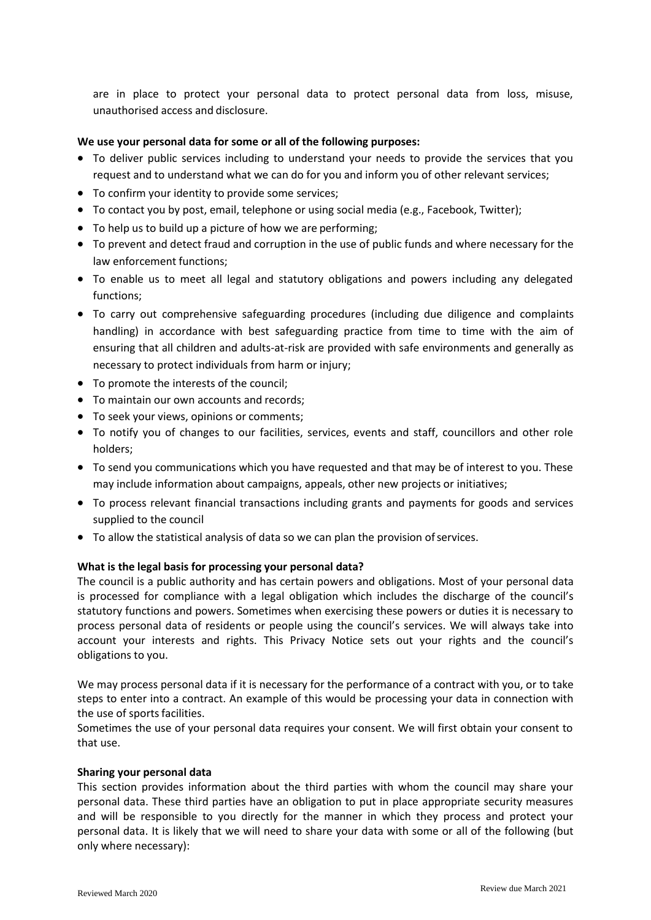are in place to protect your personal data to protect personal data from loss, misuse, unauthorised access and disclosure.

#### **We use your personal data for some or all of the following purposes:**

- To deliver public services including to understand your needs to provide the services that you request and to understand what we can do for you and inform you of other relevant services;
- To confirm your identity to provide some services;
- To contact you by post, email, telephone or using social media (e.g., Facebook, Twitter);
- To help us to build up a picture of how we are performing;
- To prevent and detect fraud and corruption in the use of public funds and where necessary for the law enforcement functions;
- To enable us to meet all legal and statutory obligations and powers including any delegated functions;
- To carry out comprehensive safeguarding procedures (including due diligence and complaints handling) in accordance with best safeguarding practice from time to time with the aim of ensuring that all children and adults-at-risk are provided with safe environments and generally as necessary to protect individuals from harm or injury;
- To promote the interests of the council;
- To maintain our own accounts and records;
- $\bullet$  To seek your views, opinions or comments;
- To notify you of changes to our facilities, services, events and staff, councillors and other role holders;
- To send you communications which you have requested and that may be of interest to you. These may include information about campaigns, appeals, other new projects or initiatives;
- To process relevant financial transactions including grants and payments for goods and services supplied to the council
- To allow the statistical analysis of data so we can plan the provision of services.

#### **What is the legal basis for processing your personal data?**

The council is a public authority and has certain powers and obligations. Most of your personal data is processed for compliance with a legal obligation which includes the discharge of the council's statutory functions and powers. Sometimes when exercising these powers or duties it is necessary to process personal data of residents or people using the council's services. We will always take into account your interests and rights. This Privacy Notice sets out your rights and the council's obligations to you.

We may process personal data if it is necessary for the performance of a contract with you, or to take steps to enter into a contract. An example of this would be processing your data in connection with the use of sports facilities.

Sometimes the use of your personal data requires your consent. We will first obtain your consent to that use.

#### **Sharing your personal data**

This section provides information about the third parties with whom the council may share your personal data. These third parties have an obligation to put in place appropriate security measures and will be responsible to you directly for the manner in which they process and protect your personal data. It is likely that we will need to share your data with some or all of the following (but only where necessary):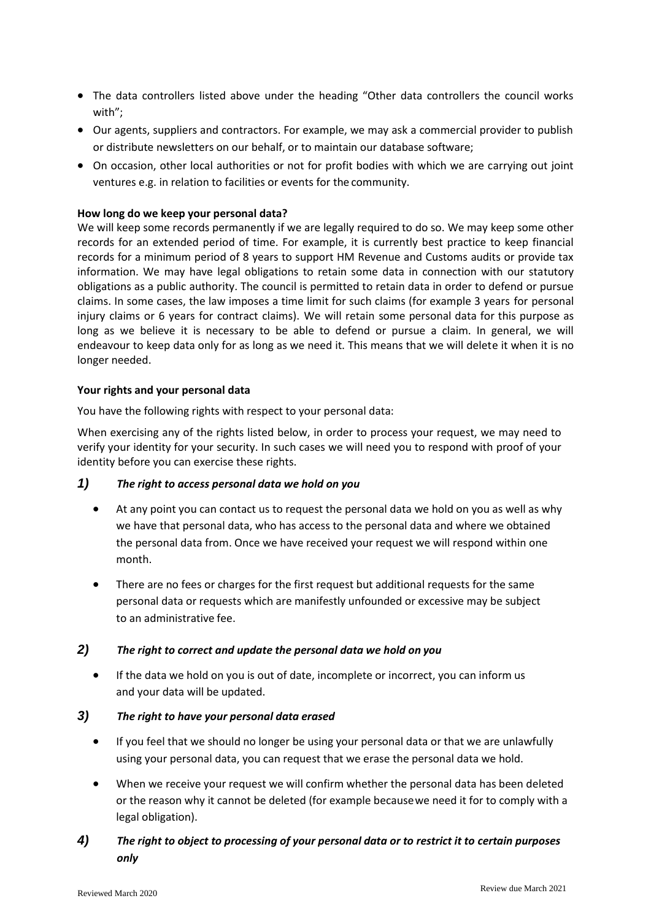- The data controllers listed above under the heading "Other data controllers the council works with";
- Our agents, suppliers and contractors. For example, we may ask a commercial provider to publish or distribute newsletters on our behalf, or to maintain our database software;
- On occasion, other local authorities or not for profit bodies with which we are carrying out joint ventures e.g. in relation to facilities or events for the community.

## **How long do we keep your personal data?**

We will keep some records permanently if we are legally required to do so. We may keep some other records for an extended period of time. For example, it is currently best practice to keep financial records for a minimum period of 8 years to support HM Revenue and Customs audits or provide tax information. We may have legal obligations to retain some data in connection with our statutory obligations as a public authority. The council is permitted to retain data in order to defend or pursue claims. In some cases, the law imposes a time limit for such claims (for example 3 years for personal injury claims or 6 years for contract claims). We will retain some personal data for this purpose as long as we believe it is necessary to be able to defend or pursue a claim. In general, we will endeavour to keep data only for as long as we need it. This means that we will delete it when it is no longer needed.

#### **Your rights and your personal data**

You have the following rights with respect to your personal data:

When exercising any of the rights listed below, in order to process your request, we may need to verify your identity for your security. In such cases we will need you to respond with proof of your identity before you can exercise these rights.

## *1) The right to access personal data we hold on you*

- At any point you can contact us to request the personal data we hold on you as well as why we have that personal data, who has access to the personal data and where we obtained the personal data from. Once we have received your request we will respond within one month.
- There are no fees or charges for the first request but additional requests for the same personal data or requests which are manifestly unfounded or excessive may be subject to an administrative fee.

#### *2) The right to correct and update the personal data we hold on you*

 If the data we hold on you is out of date, incomplete or incorrect, you can inform us and your data will be updated.

## *3) The right to have your personal data erased*

- If you feel that we should no longer be using your personal data or that we are unlawfully using your personal data, you can request that we erase the personal data we hold.
- When we receive your request we will confirm whether the personal data has been deleted or the reason why it cannot be deleted (for example becausewe need it for to comply with a legal obligation).
- *4) The right to object to processing of your personal data or to restrict it to certain purposes only*